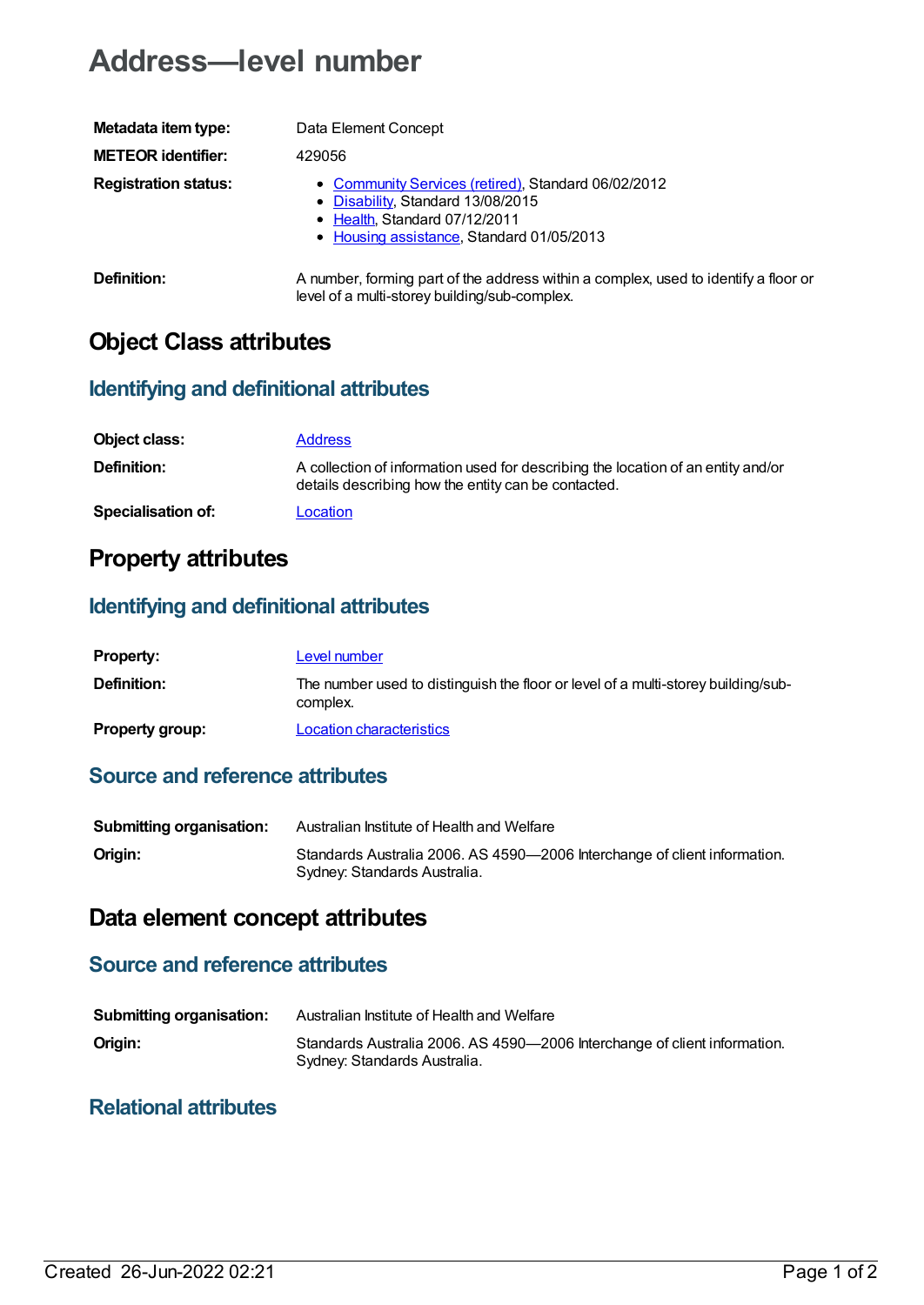# **Address—level number**

| Metadata item type:         | Data Element Concept                                                                                                                                                   |
|-----------------------------|------------------------------------------------------------------------------------------------------------------------------------------------------------------------|
| <b>METEOR identifier:</b>   | 429056                                                                                                                                                                 |
| <b>Registration status:</b> | • Community Services (retired), Standard 06/02/2012<br>• Disability, Standard 13/08/2015<br>• Health, Standard 07/12/2011<br>• Housing assistance, Standard 01/05/2013 |
| Definition:                 | A number, forming part of the address within a complex, used to identify a floor or                                                                                    |

level of a multi-storey building/sub-complex.

## **Object Class attributes**

#### **Identifying and definitional attributes**

| Object class:             | <b>Address</b>                                                                                                                          |
|---------------------------|-----------------------------------------------------------------------------------------------------------------------------------------|
| <b>Definition:</b>        | A collection of information used for describing the location of an entity and/or<br>details describing how the entity can be contacted. |
| <b>Specialisation of:</b> | Location                                                                                                                                |

### **Property attributes**

#### **Identifying and definitional attributes**

| <b>Property:</b>       | Level number                                                                                  |
|------------------------|-----------------------------------------------------------------------------------------------|
| Definition:            | The number used to distinguish the floor or level of a multi-storey building/sub-<br>complex. |
| <b>Property group:</b> | <b>Location characteristics</b>                                                               |

#### **Source and reference attributes**

| <b>Submitting organisation:</b> | Australian Institute of Health and Welfare                                                                |
|---------------------------------|-----------------------------------------------------------------------------------------------------------|
| Origin:                         | Standards Australia 2006. AS 4590-2006 Interchange of client information.<br>Sydney: Standards Australia. |

### **Data element concept attributes**

#### **Source and reference attributes**

| <b>Submitting organisation:</b> | Australian Institute of Health and Welfare                                                                |
|---------------------------------|-----------------------------------------------------------------------------------------------------------|
| Origin:                         | Standards Australia 2006. AS 4590-2006 Interchange of client information.<br>Sydney: Standards Australia. |

#### **Relational attributes**